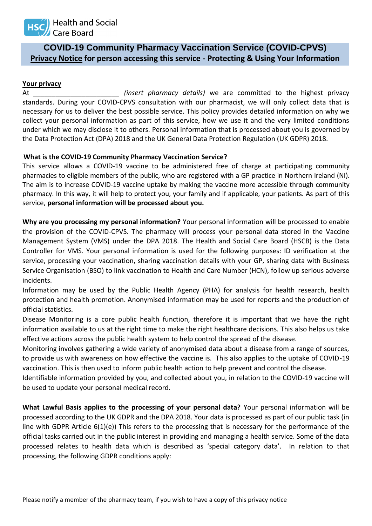

# **COVID-19 Community Pharmacy Vaccination Service (COVID-CPVS) Privacy Notice for person accessing this service - Protecting & Using Your Information**

### **Your privacy**

At *\_\_\_\_\_\_\_\_\_\_\_\_\_\_\_\_\_\_\_\_\_\_\_ (insert pharmacy details)* we are committed to the highest privacy standards. During your COVID-CPVS consultation with our pharmacist, we will only collect data that is necessary for us to deliver the best possible service. This policy provides detailed information on why we collect your personal information as part of this service, how we use it and the very limited conditions under which we may disclose it to others. Personal information that is processed about you is governed by the Data Protection Act (DPA) 2018 and the UK General Data Protection Regulation (UK GDPR) 2018.

## **What is the COVID-19 Community Pharmacy Vaccination Service?**

This service allows a COVID-19 vaccine to be administered free of charge at participating community pharmacies to eligible members of the public, who are registered with a GP practice in Northern Ireland (NI). The aim is to increase COVID-19 vaccine uptake by making the vaccine more accessible through community pharmacy. In this way, it will help to protect you, your family and if applicable, your patients. As part of this service, **personal information will be processed about you.**

**Why are you processing my personal information?** Your personal information will be processed to enable the provision of the COVID-CPVS. The pharmacy will process your personal data stored in the Vaccine Management System (VMS) under the DPA 2018. The Health and Social Care Board (HSCB) is the Data Controller for VMS. Your personal information is used for the following purposes: ID verification at the service, processing your vaccination, sharing vaccination details with your GP, sharing data with Business Service Organisation (BSO) to link vaccination to Health and Care Number (HCN), follow up serious adverse incidents.

Information may be used by the Public Health Agency (PHA) for analysis for health research, health protection and health promotion. Anonymised information may be used for reports and the production of official statistics.

Disease Monitoring is a core public health function, therefore it is important that we have the right information available to us at the right time to make the right healthcare decisions. This also helps us take effective actions across the public health system to help control the spread of the disease.

Monitoring involves gathering a wide variety of anonymised data about a disease from a range of sources, to provide us with awareness on how effective the vaccine is. This also applies to the uptake of COVID-19 vaccination. This is then used to inform public health action to help prevent and control the disease.

Identifiable information provided by you, and collected about you, in relation to the COVID-19 vaccine will be used to update your personal medical record.

**What Lawful Basis applies to the processing of your personal data?** Your personal information will be processed according to the UK GDPR and the DPA 2018. Your data is processed as part of our public task (in line with GDPR Article 6(1)(e)) This refers to the processing that is necessary for the performance of the official tasks carried out in the public interest in providing and managing a health service. Some of the data processed relates to health data which is described as 'special category data'. In relation to that processing, the following GDPR conditions apply: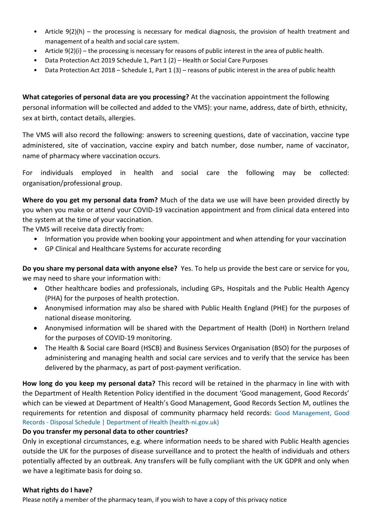- Article 9(2)(h) the processing is necessary for medical diagnosis, the provision of health treatment and management of a health and social care system.
- Article 9(2)(i) the processing is necessary for reasons of public interest in the area of public health.
- Data Protection Act 2019 Schedule 1, Part 1 (2) Health or Social Care Purposes
- Data Protection Act 2018 Schedule 1, Part 1 (3) reasons of public interest in the area of public health

**What categories of personal data are you processing?** At the vaccination appointment the following personal information will be collected and added to the VMS): your name, address, date of birth, ethnicity, sex at birth, contact details, allergies.

The VMS will also record the following: answers to screening questions, date of vaccination, vaccine type administered, site of vaccination, vaccine expiry and batch number, dose number, name of vaccinator, name of pharmacy where vaccination occurs.

For individuals employed in health and social care the following may be collected: organisation/professional group.

**Where do you get my personal data from?** Much of the data we use will have been provided directly by you when you make or attend your COVID-19 vaccination appointment and from clinical data entered into the system at the time of your vaccination.

The VMS will receive data directly from:

- Information you provide when booking your appointment and when attending for your vaccination
- GP Clinical and Healthcare Systems for accurate recording

**Do you share my personal data with anyone else?** Yes. To help us provide the best care or service for you, we may need to share your information with:

- Other healthcare bodies and professionals, including GPs, Hospitals and the Public Health Agency (PHA) for the purposes of health protection.
- Anonymised information may also be shared with Public Health England (PHE) for the purposes of national disease monitoring.
- Anonymised information will be shared with the Department of Health (DoH) in Northern Ireland for the purposes of COVID-19 monitoring.
- The Health & Social care Board (HSCB) and Business Services Organisation (BSO) for the purposes of administering and managing health and social care services and to verify that the service has been delivered by the pharmacy, as part of post-payment verification.

**How long do you keep my personal data?** This record will be retained in the pharmacy in line with with the Department of Health Retention Policy identified in the document 'Good management, Good Records' which can be viewed at Department of Health's Good Management, Good Records Section M, outlines the requirements for retention and disposal of community pharmacy held records: [Good Management, Good](https://www.health-ni.gov.uk/publications/good-management-good-records-disposal-schedule)  Records - [Disposal Schedule | Department of Health \(health-ni.gov.uk\)](https://www.health-ni.gov.uk/publications/good-management-good-records-disposal-schedule)

## **Do you transfer my personal data to other countries?**

Only in exceptional circumstances, e.g. where information needs to be shared with Public Health agencies outside the UK for the purposes of disease surveillance and to protect the health of individuals and others potentially affected by an outbreak. Any transfers will be fully compliant with the UK GDPR and only when we have a legitimate basis for doing so.

## **What rights do I have?**

Please notify a member of the pharmacy team, if you wish to have a copy of this privacy notice